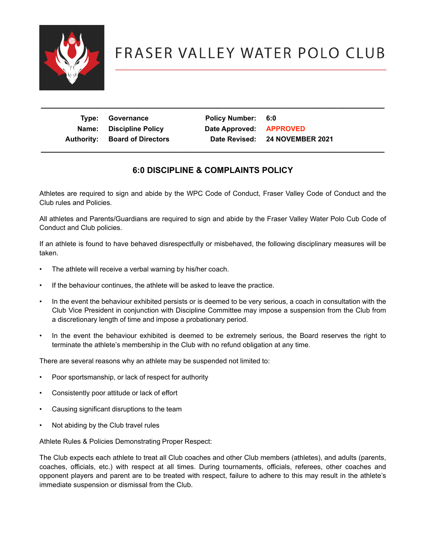

| Type: Governance                     | Policy Number: 6:0      |                                |
|--------------------------------------|-------------------------|--------------------------------|
| Name: Discipline Policy              | Date Approved: APPROVED |                                |
| <b>Authority: Board of Directors</b> |                         | Date Revised: 24 NOVEMBER 2021 |
|                                      |                         |                                |

 **\_\_\_\_\_\_\_\_\_\_\_\_\_\_\_\_\_\_\_\_\_\_\_\_\_\_\_\_\_\_\_\_\_\_\_\_\_\_\_\_\_\_\_\_\_\_\_\_\_\_\_\_\_\_\_\_\_\_\_\_\_\_\_\_\_\_\_\_\_\_\_\_\_\_**

## **6:0 DISCIPLINE & COMPLAINTS POLICY**

Athletes are required to sign and abide by the WPC Code of Conduct, Fraser Valley Code of Conduct and the Club rules and Policies.

All athletes and Parents/Guardians are required to sign and abide by the Fraser Valley Water Polo Cub Code of Conduct and Club policies.

If an athlete is found to have behaved disrespectfully or misbehaved, the following disciplinary measures will be taken.

- The athlete will receive a verbal warning by his/her coach.
- If the behaviour continues, the athlete will be asked to leave the practice.
- In the event the behaviour exhibited persists or is deemed to be very serious, a coach in consultation with the Club Vice President in conjunction with Discipline Committee may impose a suspension from the Club from a discretionary length of time and impose a probationary period.
- In the event the behaviour exhibited is deemed to be extremely serious, the Board reserves the right to terminate the athlete's membership in the Club with no refund obligation at any time.

There are several reasons why an athlete may be suspended not limited to:

- Poor sportsmanship, or lack of respect for authority
- Consistently poor attitude or lack of effort
- Causing significant disruptions to the team
- Not abiding by the Club travel rules

Athlete Rules & Policies Demonstrating Proper Respect:

The Club expects each athlete to treat all Club coaches and other Club members (athletes), and adults (parents, coaches, officials, etc.) with respect at all times. During tournaments, officials, referees, other coaches and opponent players and parent are to be treated with respect, failure to adhere to this may result in the athlete's immediate suspension or dismissal from the Club.